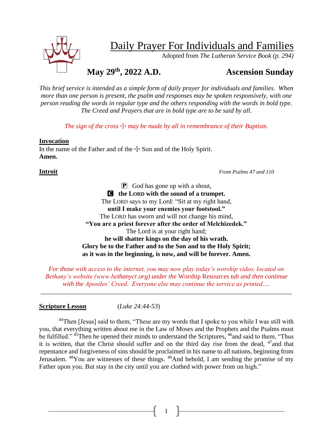Daily Prayer For Individuals and Families

Adopted from *The Lutheran Service Book (p. 294)*



# **May 29th**

# **Ascension Sunday**

*This brief service is intended as a simple form of daily prayer for individuals and families. When more than one person is present, the psalm and responses may be spoken responsively, with one person reading the words in regular type and the others responding with the words in bold type. The Creed and Prayers that are in bold type are to be said by all.*

*The sign of the cross*  $\pm$  *may be made by all in remembrance of their Baptism.* 

#### **Invocation**

In the name of the Father and of the  $\pm$  Son and of the Holy Spirit. **Amen.**

**Introit** *From Psalms 47 and 110*

 $\boxed{\mathbf{P}}$  God has gone up with a shout, C **the LORD with the sound of a trumpet.** The LORD says to my Lord: "Sit at my right hand, **until I make your enemies your footstool."** The LORD has sworn and will not change his mind, **"You are a priest forever after the order of Melchizedek."** The Lord is at your right hand; **he will shatter kings on the day of his wrath. Glory be to the Father and to the Son and to the Holy Spirit; as it was in the beginning, is now, and will be forever. Amen.**

*For those with access to the internet, you may now play today's worship video, located on Bethany's website (www.bethanycr.org) under the* Worship Resources *tab and then continue with the Apostles' Creed. Everyone else may continue the service as printed….*

\_\_\_\_\_\_\_\_\_\_\_\_\_\_\_\_\_\_\_\_\_\_\_\_\_\_\_\_\_\_\_\_\_\_\_\_\_\_\_\_\_\_\_\_\_\_\_\_\_\_\_\_\_\_\_\_\_\_\_\_\_\_\_\_\_\_\_\_\_\_\_\_\_\_\_\_\_

#### **Scripture Lesson** (*Luke 24:44-53*)

 $44$ Then [Jesus] said to them, "These are my words that I spoke to you while I was still with you, that everything written about me in the Law of Moses and the Prophets and the Psalms must be fulfilled." <sup>45</sup>Then he opened their minds to understand the Scriptures, <sup>46</sup>and said to them, "Thus it is written, that the Christ should suffer and on the third day rise from the dead,  $47$  and that repentance and forgiveness of sins should be proclaimed in his name to all nations, beginning from Jerusalem. <sup>48</sup>You are witnesses of these things. <sup>49</sup>And behold, I am sending the promise of my Father upon you. But stay in the city until you are clothed with power from on high."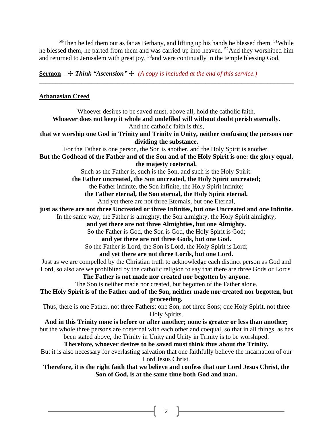$50$ Then he led them out as far as Bethany, and lifting up his hands he blessed them.  $51$ While he blessed them, he parted from them and was carried up into heaven. <sup>52</sup>And they worshiped him and returned to Jerusalem with great joy, <sup>53</sup> and were continually in the temple blessing God.

\_\_\_\_\_\_\_\_\_\_\_\_\_\_\_\_\_\_\_\_\_\_\_\_\_\_\_\_\_\_\_\_\_\_\_\_\_\_\_\_\_\_\_\_\_\_\_\_\_\_\_\_\_\_\_\_\_\_\_\_\_\_\_\_\_\_\_\_\_\_\_\_\_\_\_\_\_\_

**<u>Sermon**</u> –  $\div$  **Think** "Ascension"  $\div$  (A copy is included at the end of this service.)

#### **Athanasian Creed**

Whoever desires to be saved must, above all, hold the catholic faith. **Whoever does not keep it whole and undefiled will without doubt perish eternally.** And the catholic faith is this, **that we worship one God in Trinity and Trinity in Unity, neither confusing the persons nor dividing the substance.** For the Father is one person, the Son is another, and the Holy Spirit is another. **But the Godhead of the Father and of the Son and of the Holy Spirit is one: the glory equal, the majesty coeternal.** Such as the Father is, such is the Son, and such is the Holy Spirit: **the Father uncreated, the Son uncreated, the Holy Spirit uncreated;** the Father infinite, the Son infinite, the Holy Spirit infinite; **the Father eternal, the Son eternal, the Holy Spirit eternal.** And yet there are not three Eternals, but one Eternal, **just as there are not three Uncreated or three Infinites, but one Uncreated and one Infinite.** In the same way, the Father is almighty, the Son almighty, the Holy Spirit almighty; **and yet there are not three Almighties, but one Almighty.** So the Father is God, the Son is God, the Holy Spirit is God; **and yet there are not three Gods, but one God.** So the Father is Lord, the Son is Lord, the Holy Spirit is Lord; **and yet there are not three Lords, but one Lord.** Just as we are compelled by the Christian truth to acknowledge each distinct person as God and Lord, so also are we prohibited by the catholic religion to say that there are three Gods or Lords. **The Father is not made nor created nor begotten by anyone.** The Son is neither made nor created, but begotten of the Father alone. **The Holy Spirit is of the Father and of the Son, neither made nor created nor begotten, but proceeding.** Thus, there is one Father, not three Fathers; one Son, not three Sons; one Holy Spirit, not three Holy Spirits. **And in this Trinity none is before or after another; none is greater or less than another;** but the whole three persons are coeternal with each other and coequal, so that in all things, as has been stated above, the Trinity in Unity and Unity in Trinity is to be worshiped. **Therefore, whoever desires to be saved must think thus about the Trinity.** But it is also necessary for everlasting salvation that one faithfully believe the incarnation of our Lord Jesus Christ. **Therefore, it is the right faith that we believe and confess that our Lord Jesus Christ, the Son of God, is at the same time both God and man.**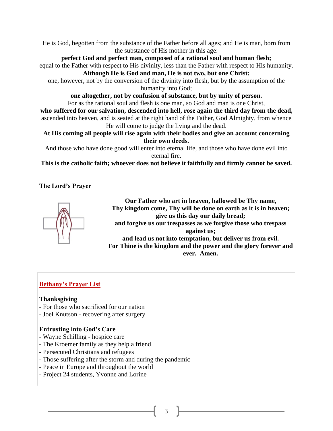He is God, begotten from the substance of the Father before all ages; and He is man, born from the substance of His mother in this age:

#### **perfect God and perfect man, composed of a rational soul and human flesh;**

equal to the Father with respect to His divinity, less than the Father with respect to His humanity. **Although He is God and man, He is not two, but one Christ:**

one, however, not by the conversion of the divinity into flesh, but by the assumption of the humanity into God;

**one altogether, not by confusion of substance, but by unity of person.**

For as the rational soul and flesh is one man, so God and man is one Christ,

**who suffered for our salvation, descended into hell, rose again the third day from the dead,** ascended into heaven, and is seated at the right hand of the Father, God Almighty, from whence

He will come to judge the living and the dead.

**At His coming all people will rise again with their bodies and give an account concerning their own deeds.**

And those who have done good will enter into eternal life, and those who have done evil into eternal fire.

**This is the catholic faith; whoever does not believe it faithfully and firmly cannot be saved.**

#### **The Lord's Prayer**



**Our Father who art in heaven, hallowed be Thy name, Thy kingdom come, Thy will be done on earth as it is in heaven; give us this day our daily bread; and forgive us our trespasses as we forgive those who trespass against us; and lead us not into temptation, but deliver us from evil. For Thine is the kingdom and the power and the glory forever and ever. Amen.**

# **Bethany's Prayer List**

#### **Thanksgiving**

- For those who sacrificed for our nation
- Joel Knutson recovering after surgery

#### **Entrusting into God's Care**

- Wayne Schilling hospice care
- The Kroemer family as they help a friend
- Persecuted Christians and refugees
- Those suffering after the storm and during the pandemic
- Peace in Europe and throughout the world
- Project 24 students, Yvonne and Lorine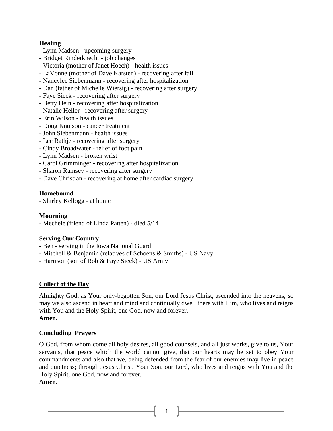### **Healing**

- Lynn Madsen upcoming surgery
- Bridget Rinderknecht job changes
- Victoria (mother of Janet Hoech) health issues
- LaVonne (mother of Dave Karsten) recovering after fall
- Nancylee Siebenmann recovering after hospitalization
- Dan (father of Michelle Wiersig) recovering after surgery
- Faye Sieck recovering after surgery
- Betty Hein recovering after hospitalization
- Natalie Heller recovering after surgery
- Erin Wilson health issues
- Doug Knutson cancer treatment
- John Siebenmann health issues
- Lee Rathje recovering after surgery
- Cindy Broadwater relief of foot pain
- Lynn Madsen broken wrist
- Carol Grimminger recovering after hospitalization
- Sharon Ramsey recovering after surgery
- Dave Christian recovering at home after cardiac surgery

#### **Homebound**

- Shirley Kellogg - at home

### **Mourning**

- Mechele (friend of Linda Patten) - died 5/14

# **Serving Our Country**

- Ben serving in the Iowa National Guard
- Mitchell & Benjamin (relatives of Schoens & Smiths) US Navy
- Harrison (son of Rob & Faye Sieck) US Army

# **Collect of the Day**

Almighty God, as Your only-begotten Son, our Lord Jesus Christ, ascended into the heavens, so may we also ascend in heart and mind and continually dwell there with Him, who lives and reigns with You and the Holy Spirit, one God, now and forever. **Amen.**

#### **Concluding Prayers**

O God, from whom come all holy desires, all good counsels, and all just works, give to us, Your servants, that peace which the world cannot give, that our hearts may be set to obey Your commandments and also that we, being defended from the fear of our enemies may live in peace and quietness; through Jesus Christ, Your Son, our Lord, who lives and reigns with You and the Holy Spirit, one God, now and forever. **Amen.**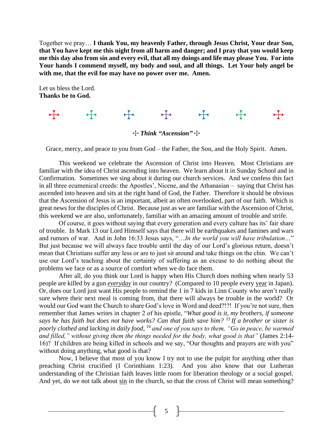Together we pray… **I thank You, my heavenly Father, through Jesus Christ, Your dear Son, that You have kept me this night from all harm and danger; and I pray that you would keep me this day also from sin and every evil, that all my doings and life may please You. For into Your hands I commend myself, my body and soul, and all things. Let Your holy angel be with me, that the evil foe may have no power over me. Amen.**

Let us bless the Lord. **Thanks be to God.**

# T T T T T  $+$  *Think "Ascension"* +

Grace, mercy, and peace to you from God – the Father, the Son, and the Holy Spirit. Amen.

This weekend we celebrate the Ascension of Christ into Heaven. Most Christians are familiar with the idea of Christ ascending into heaven. We learn about it in Sunday School and in Confirmation. Sometimes we sing about it during our church services. And we confess this fact in all three ecumenical creeds: the Apostles', Nicene, and the Athanasian – saying that Christ has ascended into heaven and sits at the right hand of God, the Father. Therefore it should be obvious that the Ascension of Jesus is an important, albeit an often overlooked, part of our faith. Which is great news for the disciples of Christ. Because just as we are familiar with the Ascension of Christ, this weekend we are also, unfortunately, familiar with an amazing amount of trouble and strife.

Of course, it goes without saying that every generation and every culture has its' fair share of trouble. In Mark 13 our Lord Himself says that there will be earthquakes and famines and wars and rumors of war. And in John 16:33 Jesus says, "…*In the world you will have tribulation…*" But just because we will always face trouble until the day of our Lord's glorious return, doesn't mean that Christians suffer any less or are to just sit around and take things on the chin. We can't use our Lord's teaching about the certainty of suffering as an excuse to do nothing about the problems we face or as a source of comfort when we do face them.

After all, do you think our Lord is happy when His Church does nothing when nearly 53 people are killed by a gun *everyday* in our country? (Compared to 10 people every year in Japan). Or, does our Lord just want His people to remind the 1 in 7 kids in Linn County who aren't really sure where their next meal is coming from, that there will always be trouble in the world? Or would our God want the Church to share God's love in Word and deed?!?! If you're not sure, then remember that James writes in chapter 2 of his epistle, "*What good is it, my brothers, if someone says he has faith but does not have works? Can that faith save him? <sup>15</sup> If a brother or sister is poorly clothed and lacking in daily food, <sup>16</sup> and one of you says to them, "Go in peace, be warmed and filled," without giving them the things needed for the body, what good is that"* (James 2:14- 16)? If children are being killed in schools and we say, "Our thoughts and prayers are with you" without doing anything, what good is that?

Now, I believe that most of you know I try not to use the pulpit for anything other than preaching Christ crucified (I Corinthians 1:23). And you also know that our Lutheran understanding of the Christian faith leaves little room for liberation theology or a social gospel. And yet, do we not talk about sin in the church, so that the cross of Christ will mean something?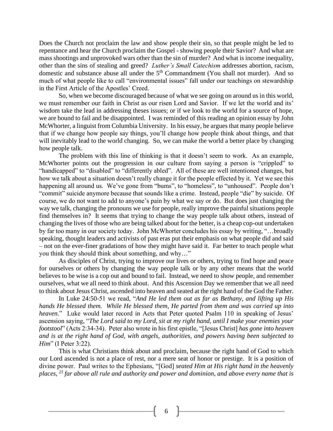Does the Church not proclaim the law and show people their sin, so that people might be led to repentance and hear the Church proclaim the Gospel - showing people their Savior? And what are mass shootings and unprovoked wars other than the sin of murder? And what is income inequality, other than the sins of stealing and greed? *Luther's Small Catechism* addresses abortion, racism, domestic and substance abuse all under the  $5<sup>th</sup>$  Commandment (You shall not murder). And so much of what people like to call "environmental issues" fall under our teachings on stewardship in the First Article of the Apostles' Creed.

So, when we become discouraged because of what we see going on around us in this world, we must remember our faith in Christ as our risen Lord and Savior. If we let the world and its' wisdom take the lead in addressing theses issues; or if we look to the world for a source of hope, we are bound to fail and be disappointed. I was reminded of this reading an opinion essay by John McWhorter, a linguist from Columbia University. In his essay, he argues that many people believe that if we change how people say things, you'll change how people think about things, and that will inevitably lead to the world changing. So, we can make the world a better place by changing how people talk.

The problem with this line of thinking is that it doesn't seem to work. As an example, McWhorter points out the progression in our culture from saying a person is "crippled" to "handicapped" to "disabled" to "differently abled". All of these are well intentioned changes, but how we talk about a situation doesn't really change it for the people effected by it. Yet we see this happening all around us. We've gone from "bums", to "homeless", to "unhoused". People don't "commit" suicide anymore because that sounds like a crime. Instead, people "die" by suicide. Of course, we do not want to add to anyone's pain by what we say or do. But does just changing the way we talk, changing the pronouns we use for people, really improve the painful situations people find themselves in? It seems that trying to change the way people talk about others, instead of changing the lives of those who are being talked about for the better, is a cheap cop-out undertaken by far too many in our society today. John McWhorter concludes his essay by writing, "…broadly speaking, thought leaders and activists of past eras put their emphasis on what people did and said – not on the ever-finer gradations of how they might have said it. Far better to teach people what you think they should think about something, and why…"

As disciples of Christ, trying to improve our lives or others, trying to find hope and peace for ourselves or others by changing the way people talk or by any other means that the world believes to be wise is a cop out and bound to fail. Instead, we need to show people, and remember ourselves, what we all need to think about. And this Ascension Day we remember that we all need to think about Jesus Christ, ascended into heaven and seated at the right hand of the God the Father.

In Luke 24:50-51 we read, "*And He led them out as far as Bethany, and lifting up His hands He blessed them. While He blessed them, He parted from them and was carried up into heaven.*" Luke would later record in Acts that Peter quoted Psalm 110 in speaking of Jesus' ascension saying, "*The Lord said to my Lord, sit at my right hand, until I make your enemies your footstool*" (Acts 2:34-34). Peter also wrote in his first epistle, "[Jesus Christ] *has gone into heaven and is at the right hand of God, with angels, authorities, and powers having been subjected to Him*" (I Peter 3:22).

This is what Christians think about and proclaim, because the right hand of God to which our Lord ascended is not a place of rest, nor a mere seat of honor or prestige. It is a position of divine power. Paul writes to the Ephesians, "[God] *seated Him at His right hand in the heavenly places, <sup>21</sup> far above all rule and authority and power and dominion, and above every name that is*